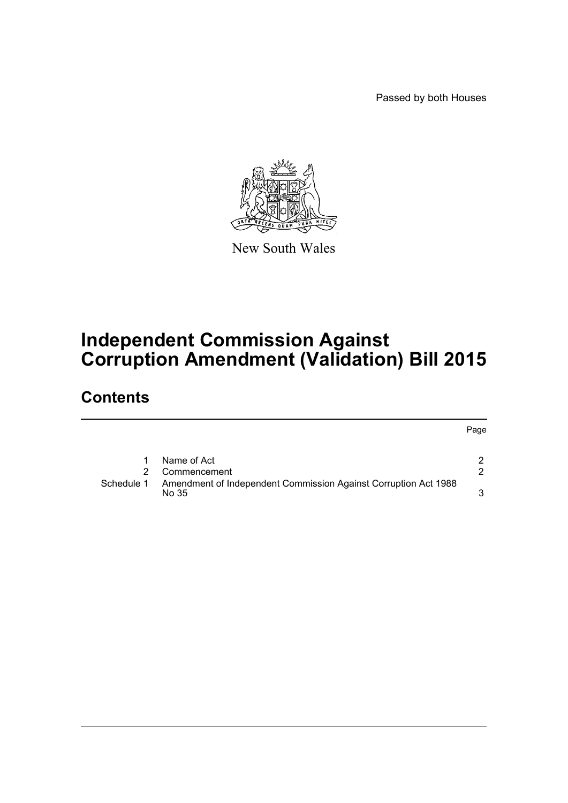Passed by both Houses



New South Wales

## **Independent Commission Against Corruption Amendment (Validation) Bill 2015**

## **Contents**

|            |                                                                          | Page |
|------------|--------------------------------------------------------------------------|------|
|            | Name of Act                                                              | ົ    |
|            | Commencement                                                             | າ    |
| Schedule 1 | Amendment of Independent Commission Against Corruption Act 1988<br>No 35 | 2    |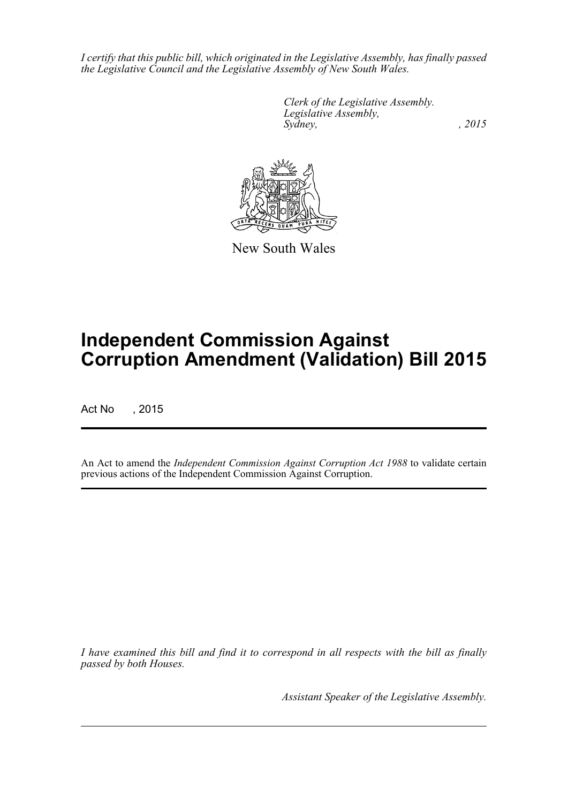*I certify that this public bill, which originated in the Legislative Assembly, has finally passed the Legislative Council and the Legislative Assembly of New South Wales.*

> *Clerk of the Legislative Assembly. Legislative Assembly, Sydney,* , 2015



New South Wales

# **Independent Commission Against Corruption Amendment (Validation) Bill 2015**

Act No , 2015

An Act to amend the *Independent Commission Against Corruption Act 1988* to validate certain previous actions of the Independent Commission Against Corruption.

*I have examined this bill and find it to correspond in all respects with the bill as finally passed by both Houses.*

*Assistant Speaker of the Legislative Assembly.*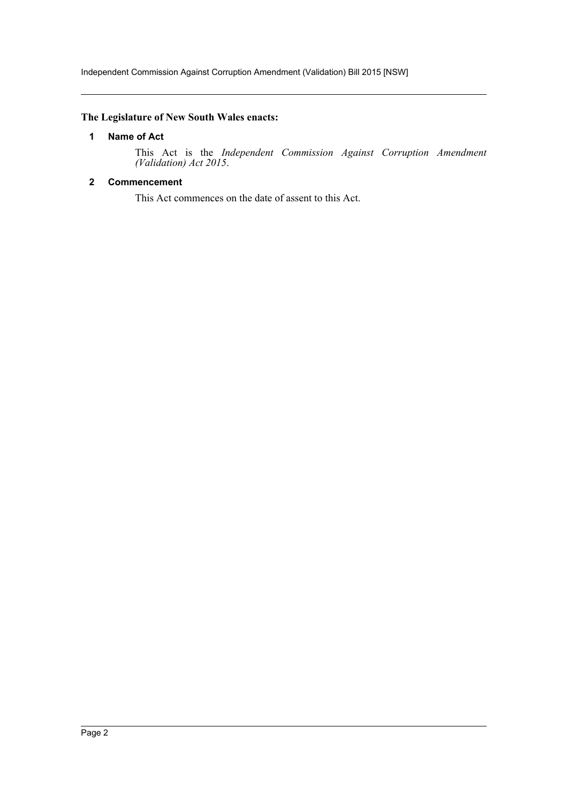## <span id="page-2-0"></span>**The Legislature of New South Wales enacts:**

#### **1 Name of Act**

This Act is the *Independent Commission Against Corruption Amendment (Validation) Act 2015*.

## <span id="page-2-1"></span>**2 Commencement**

This Act commences on the date of assent to this Act.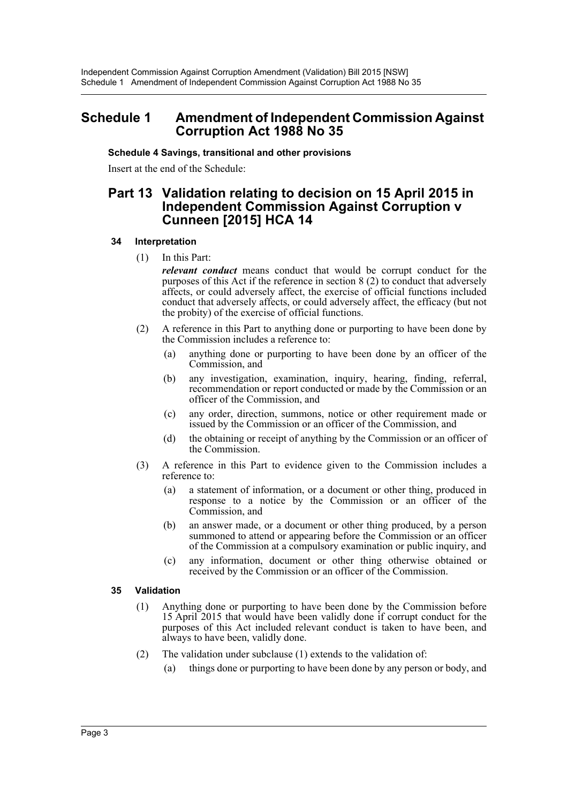## <span id="page-3-0"></span>**Schedule 1 Amendment of Independent Commission Against Corruption Act 1988 No 35**

## **Schedule 4 Savings, transitional and other provisions**

Insert at the end of the Schedule:

## **Part 13 Validation relating to decision on 15 April 2015 in Independent Commission Against Corruption v Cunneen [2015] HCA 14**

#### **34 Interpretation**

(1) In this Part:

*relevant conduct* means conduct that would be corrupt conduct for the purposes of this Act if the reference in section 8 (2) to conduct that adversely affects, or could adversely affect, the exercise of official functions included conduct that adversely affects, or could adversely affect, the efficacy (but not the probity) of the exercise of official functions.

- (2) A reference in this Part to anything done or purporting to have been done by the Commission includes a reference to:
	- (a) anything done or purporting to have been done by an officer of the Commission, and
	- (b) any investigation, examination, inquiry, hearing, finding, referral, recommendation or report conducted or made by the Commission or an officer of the Commission, and
	- (c) any order, direction, summons, notice or other requirement made or issued by the Commission or an officer of the Commission, and
	- (d) the obtaining or receipt of anything by the Commission or an officer of the Commission.
- (3) A reference in this Part to evidence given to the Commission includes a reference to:
	- (a) a statement of information, or a document or other thing, produced in response to a notice by the Commission or an officer of the Commission, and
	- (b) an answer made, or a document or other thing produced, by a person summoned to attend or appearing before the Commission or an officer of the Commission at a compulsory examination or public inquiry, and
	- (c) any information, document or other thing otherwise obtained or received by the Commission or an officer of the Commission.

## **35 Validation**

- (1) Anything done or purporting to have been done by the Commission before 15 April 2015 that would have been validly done if corrupt conduct for the purposes of this Act included relevant conduct is taken to have been, and always to have been, validly done.
- (2) The validation under subclause (1) extends to the validation of:
	- (a) things done or purporting to have been done by any person or body, and